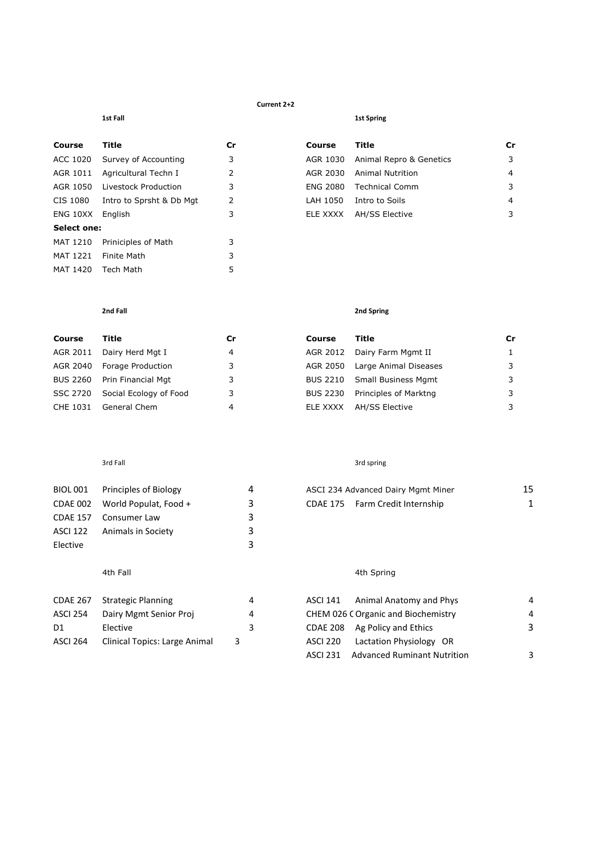### **Current 2+2**

| Course          | <b>Title</b>             | Сr |
|-----------------|--------------------------|----|
| ACC 1020        | Survey of Accounting     | 3  |
| AGR 1011        | Agricultural Techn I     | 2  |
| AGR 1050        | Livestock Production     | 3  |
| CIS 1080        | Intro to Sprsht & Db Mgt | 2  |
| ENG 10XX        | English                  | 3  |
| Select one:     |                          |    |
| <b>MAT 1210</b> | Priniciples of Math      | 3  |
| MAT 1221        | <b>Finite Math</b>       | 3  |
| MAT 1420        | Tech Math                | 5  |

### **1st Fall** 1st Spring

| Course   | Title                         | Cr | Course   | Title                   | Cr |
|----------|-------------------------------|----|----------|-------------------------|----|
|          | ACC 1020 Survey of Accounting | 3  | AGR 1030 | Animal Repro & Genetics | 3  |
|          | AGR 1011 Agricultural Techn I | 2  | AGR 2030 | <b>Animal Nutrition</b> | 4  |
| AGR 1050 | Livestock Production          | 3  | ENG 2080 | <b>Technical Comm</b>   | 3  |
| CIS 1080 | Intro to Sprsht & Db Mgt      | 2  | LAH 1050 | Intro to Soils          | 4  |
| ENG 10XX | Enalish                       | 3. | ELE XXXX | AH/SS Elective          |    |
|          |                               |    |          |                         |    |

# **2nd Fall 2nd Spring**

| Course   | Title                  | Cr | Course          | Title                      | Cr |
|----------|------------------------|----|-----------------|----------------------------|----|
| AGR 2011 | Dairy Herd Mgt I       | 4  | AGR 2012        | Dairy Farm Mgmt II         |    |
| AGR 2040 | Forage Production      | 3  | AGR 2050        | Large Animal Diseases      |    |
| BUS 2260 | Prin Financial Mgt     | 3  | BUS 2210        | <b>Small Business Mgmt</b> |    |
| SSC 2720 | Social Ecology of Food | 3  | <b>BUS 2230</b> | Principles of Marktng      |    |
| CHE 1031 | General Chem           | 4  | ELE XXXX        | AH/SS Elective             | 2  |

# and Fall 3rd spring 3rd spring 3rd spring 3rd spring 3rd spring 3rd spring 3rd spring

| <b>BIOL 001</b> | Principles of Biology          | 4 | ASCI 234 Advanced Dairy Mgmt Miner | 15 |
|-----------------|--------------------------------|---|------------------------------------|----|
|                 | CDAE 002 World Populat, Food + | ર | CDAE 175 Farm Credit Internship    |    |
| <b>CDAE 157</b> | Consumer Law                   |   |                                    |    |
| <b>ASCI 122</b> | Animals in Society             |   |                                    |    |
| Elective        |                                |   |                                    |    |

| CDAE 267        | Strategic Planning            |   | 4 | ASCI 141 | Animal Anatomy and Phys                   |
|-----------------|-------------------------------|---|---|----------|-------------------------------------------|
| <b>ASCI 254</b> | Dairy Mgmt Senior Proj        |   | 4 |          | <b>CHEM 026 COrganic and Biochemistry</b> |
| D1              | Elective                      |   | 3 |          | CDAE 208 Ag Policy and Ethics             |
| <b>ASCI 264</b> | Clinical Topics: Large Animal | 3 |   | ASCI 220 | Lactation Physiology OR                   |

| ٠ | $\check{~}$<br>-<br>۰. |
|---|------------------------|
|   |                        |
|   |                        |
|   |                        |

| BIOL 001 Principles of Biology | ASCI 234 Advanced Dairy Mgmt Miner |  |
|--------------------------------|------------------------------------|--|
| CDAE 002 World Populat, Food + | CDAE 175 Farm Credit Internship    |  |

# 4th Fall 4th Spring

| CDAE 267 | <b>Strategic Planning</b>            | 4 | Animal Anatomy and Phys<br>ASCI 141            | 4 |
|----------|--------------------------------------|---|------------------------------------------------|---|
| ASCI 254 | Dairy Mgmt Senior Proj               | 4 | CHEM 026 C Organic and Biochemistry            | 4 |
| D1       | Elective                             | 3 | CDAE 208 Ag Policy and Ethics                  |   |
| ASCI 264 | <b>Clinical Topics: Large Animal</b> | 3 | Lactation Physiology OR<br>ASCI 220            |   |
|          |                                      |   | <b>Advanced Ruminant Nutrition</b><br>ASCI 231 |   |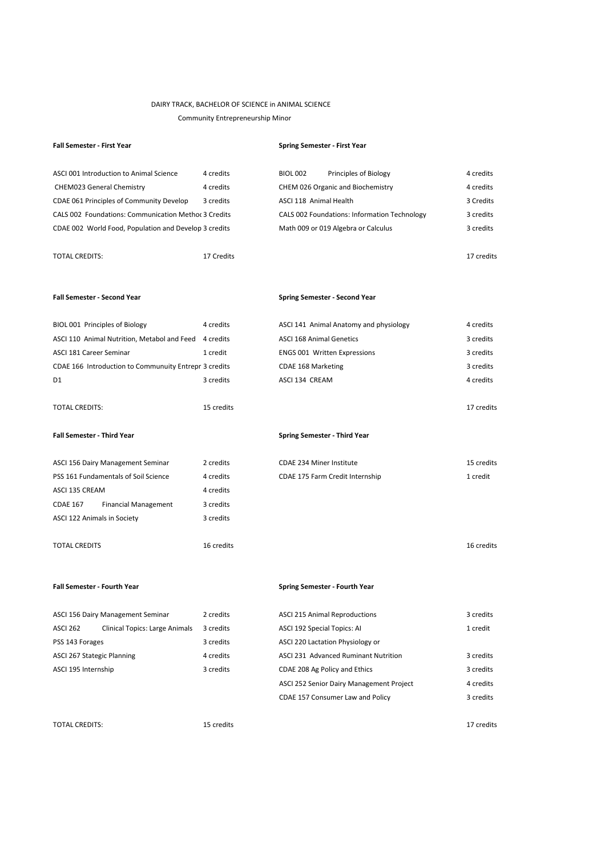# DAIRY TRACK, BACHELOR OF SCIENCE in ANIMAL SCIENCE

Community Entrepreneurship Minor

| <b>Fall Semester - First Year</b>                     |            | <b>Spring Semester - First Year</b>          |            |
|-------------------------------------------------------|------------|----------------------------------------------|------------|
| ASCI 001 Introduction to Animal Science               | 4 credits  | <b>BIOL 002</b><br>Principles of Biology     | 4 credits  |
| <b>CHEM023 General Chemistry</b>                      | 4 credits  | <b>CHEM 026 Organic and Biochemistry</b>     | 4 credits  |
| CDAE 061 Principles of Community Develop              | 3 credits  | ASCI 118 Animal Health                       | 3 Credits  |
| CALS 002 Foundations: Communication Methor 3 Credits  |            | CALS 002 Foundations: Information Technology | 3 credits  |
| CDAE 002 World Food, Population and Develop 3 credits |            | Math 009 or 019 Algebra or Calculus          | 3 credits  |
| <b>TOTAL CREDITS:</b>                                 | 17 Credits |                                              | 17 credits |
| <b>Fall Semester - Second Year</b>                    |            | <b>Spring Semester - Second Year</b>         |            |
| BIOL 001 Principles of Biology                        | 4 credits  | ASCI 141 Animal Anatomy and physiology       | 4 credits  |
| ASCI 110 Animal Nutrition, Metabol and Feed 4 credits |            | <b>ASCI 168 Animal Genetics</b>              | 3 credits  |
| ASCI 181 Career Seminar                               | 1 credit   | <b>ENGS 001 Written Expressions</b>          | 3 credits  |
| CDAE 166 Introduction to Communuity Entrepr 3 credits |            | <b>CDAE 168 Marketing</b>                    | 3 credits  |
| D1                                                    | 3 credits  | ASCI 134 CREAM                               | 4 credits  |
| <b>TOTAL CREDITS:</b>                                 | 15 credits |                                              | 17 credits |
| <b>Fall Semester - Third Year</b>                     |            | <b>Spring Semester - Third Year</b>          |            |
| ASCI 156 Dairy Management Seminar                     | 2 credits  | <b>CDAE 234 Miner Institute</b>              | 15 credits |
| PSS 161 Fundamentals of Soil Science                  | 4 credits  | CDAE 175 Farm Credit Internship              | 1 credit   |
| ASCI 135 CREAM                                        | 4 credits  |                                              |            |
| <b>CDAE 167</b><br><b>Financial Management</b>        | 3 credits  |                                              |            |
| ASCI 122 Animals in Society                           | 3 credits  |                                              |            |
| <b>TOTAL CREDITS</b>                                  | 16 credits |                                              | 16 credits |
| <b>Fall Semester - Fourth Year</b>                    |            | <b>Spring Semester - Fourth Year</b>         |            |
| ASCI 156 Dairy Management Seminar                     | 2 credits  | <b>ASCI 215 Animal Reproductions</b>         | 3 credits  |
| ASCI 262<br>Clinical Topics: Large Animals            | 3 credits  | ASCI 192 Special Topics: AI                  | 1 credit   |
| PSS 143 Forages                                       | 3 credits  | ASCI 220 Lactation Physiology or             |            |
| <b>ASCI 267 Stategic Planning</b>                     | 4 credits  | ASCI 231 Advanced Ruminant Nutrition         | 3 credits  |
| ASCI 195 Internship                                   | 3 credits  | CDAE 208 Ag Policy and Ethics                | 3 credits  |
|                                                       |            | ASCI 252 Senior Dairy Management Project     | 4 credits  |
|                                                       |            | CDAE 157 Consumer Law and Policy             | 3 credits  |
| <b>TOTAL CREDITS:</b>                                 | 15 credits |                                              | 17 credits |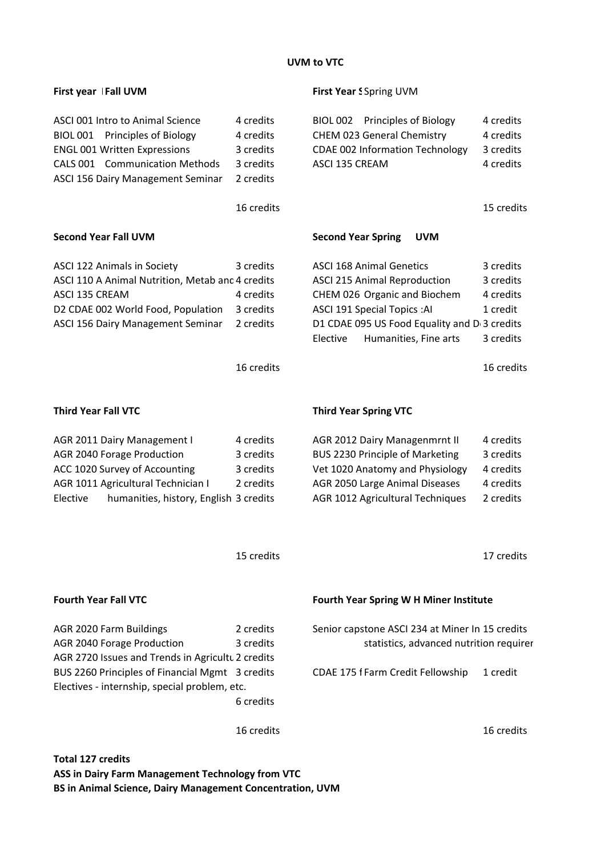# **UVM to VTC**

| First year   Fall UVM                                                                                                                                                                   |                                                               | First Year S Spring UVM                                                                                                                                                                                                                      |                                                               |
|-----------------------------------------------------------------------------------------------------------------------------------------------------------------------------------------|---------------------------------------------------------------|----------------------------------------------------------------------------------------------------------------------------------------------------------------------------------------------------------------------------------------------|---------------------------------------------------------------|
| ASCI 001 Intro to Animal Science<br>BIOL 001 Principles of Biology<br><b>ENGL 001 Written Expressions</b><br><b>CALS 001 Communication Methods</b><br>ASCI 156 Dairy Management Seminar | 4 credits<br>4 credits<br>3 credits<br>3 credits<br>2 credits | BIOL 002 Principles of Biology<br><b>CHEM 023 General Chemistry</b><br><b>CDAE 002 Information Technology</b><br>ASCI 135 CREAM                                                                                                              | 4 credits<br>4 credits<br>3 credits<br>4 credits              |
|                                                                                                                                                                                         | 16 credits                                                    |                                                                                                                                                                                                                                              | 15 credits                                                    |
| <b>Second Year Fall UVM</b>                                                                                                                                                             |                                                               | <b>Second Year Spring</b><br><b>UVM</b>                                                                                                                                                                                                      |                                                               |
| ASCI 122 Animals in Society<br>ASCI 110 A Animal Nutrition, Metab and 4 credits<br>ASCI 135 CREAM<br>D2 CDAE 002 World Food, Population<br>ASCI 156 Dairy Management Seminar            | 3 credits<br>4 credits<br>3 credits<br>2 credits              | <b>ASCI 168 Animal Genetics</b><br><b>ASCI 215 Animal Reproduction</b><br>CHEM 026 Organic and Biochem<br><b>ASCI 191 Special Topics: AI</b><br>D1 CDAE 095 US Food Equality and D <sub>3</sub> credits<br>Humanities, Fine arts<br>Elective | 3 credits<br>3 credits<br>4 credits<br>1 credit<br>3 credits  |
|                                                                                                                                                                                         | 16 credits                                                    |                                                                                                                                                                                                                                              | 16 credits                                                    |
| <b>Third Year Fall VTC</b>                                                                                                                                                              |                                                               | <b>Third Year Spring VTC</b>                                                                                                                                                                                                                 |                                                               |
| AGR 2011 Dairy Management I<br>AGR 2040 Forage Production<br>ACC 1020 Survey of Accounting<br>AGR 1011 Agricultural Technician I<br>Elective<br>humanities, history, English 3 credits  | 4 credits<br>3 credits<br>3 credits<br>2 credits              | AGR 2012 Dairy Managenmrnt II<br><b>BUS 2230 Principle of Marketing</b><br>Vet 1020 Anatomy and Physiology<br>AGR 2050 Large Animal Diseases<br>AGR 1012 Agricultural Techniques                                                             | 4 credits<br>3 credits<br>4 credits<br>4 credits<br>2 credits |
|                                                                                                                                                                                         | 15 credits                                                    |                                                                                                                                                                                                                                              | 17 credits                                                    |
| <b>Fourth Year Fall VTC</b>                                                                                                                                                             |                                                               | <b>Fourth Year Spring W H Miner Institute</b>                                                                                                                                                                                                |                                                               |
| AGR 2020 Farm Buildings<br>AGR 2040 Forage Production<br>AGR 2720 Issues and Trends in Agricultu 2 credits                                                                              | 2 credits<br>3 credits                                        | Senior capstone ASCI 234 at Miner In 15 credits<br>statistics, advanced nutrition requirer                                                                                                                                                   |                                                               |
| BUS 2260 Principles of Financial Mgmt 3 credits<br>Electives - internship, special problem, etc.                                                                                        | 6 credits                                                     | CDAE 175 f Farm Credit Fellowship                                                                                                                                                                                                            | 1 credit                                                      |
|                                                                                                                                                                                         | 16 credits                                                    |                                                                                                                                                                                                                                              | 16 credits                                                    |
| <b>Total 127 credits</b>                                                                                                                                                                |                                                               |                                                                                                                                                                                                                                              |                                                               |

**ASS in Dairy Farm Management Technology from VTC BS in Animal Science, Dairy Management Concentration, UVM**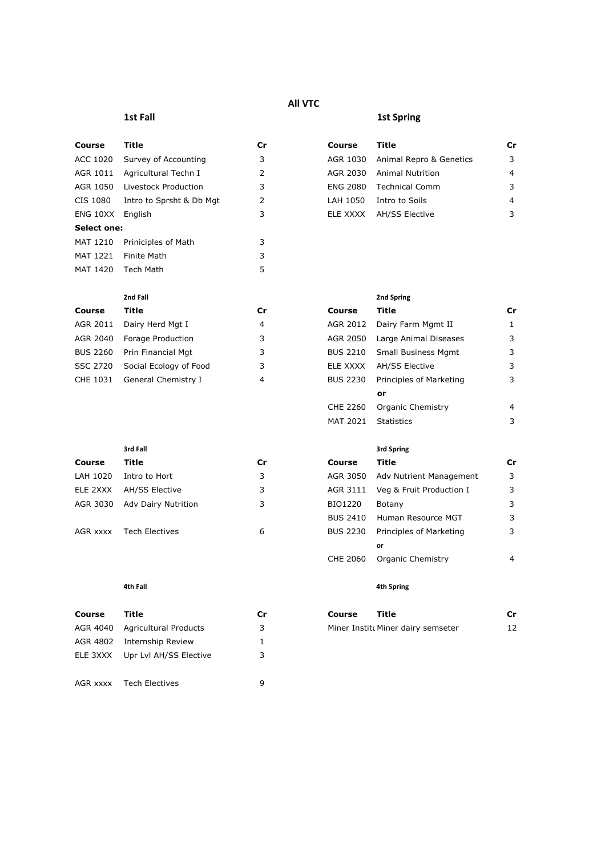# **All VTC**

# **1st Fall 1st Spring**

| Course      | Title                    | Сr |
|-------------|--------------------------|----|
| ACC 1020    | Survey of Accounting     | 3  |
| AGR 1011    | Agricultural Techn I     | 2  |
| AGR 1050    | Livestock Production     | 3  |
| CIS 1080    | Intro to Sprsht & Db Mgt | 2  |
| ENG 10XX    | English                  | 3  |
| Select one: |                          |    |
| MAT 1210    | Priniciples of Math      | 3  |
| MAT 1221    | Finite Math              | 3  |
| MAT 1420    | Tech Math                | 5  |

| Course   | Title                  | Cr | Course          | Title                       | Cr |
|----------|------------------------|----|-----------------|-----------------------------|----|
| AGR 2011 | Dairy Herd Mgt I       | 4  |                 | AGR 2012 Dairy Farm Mgmt II |    |
| AGR 2040 | Forage Production      | 3  | AGR 2050        | Large Animal Diseases       | 3  |
| BUS 2260 | Prin Financial Mgt     | 3  | <b>BUS 2210</b> | <b>Small Business Mgmt</b>  | 3  |
| SSC 2720 | Social Ecology of Food | 3  | ELE XXXX        | AH/SS Elective              |    |
| CHE 1031 | General Chemistry I    | 4  | <b>BUS 2230</b> | Principles of Marketing     |    |

| Course   | Title                 | Cr | Course          | Title                    | Cr |
|----------|-----------------------|----|-----------------|--------------------------|----|
| LAH 1020 | Intro to Hort         | 3  | AGR 3050        | Adv Nutrient Management  | 3  |
| ELE 2XXX | <b>AH/SS Elective</b> | 3  | AGR 3111        | Veg & Fruit Production I | 3  |
| AGR 3030 | Adv Dairy Nutrition   | 3  | BIO1220         | Botany                   |    |
|          |                       |    | <b>BUS 2410</b> | Human Resource MGT       | 3  |
| AGR xxxx | Tech Electives        | 6  | BUS 2230        | Principles of Marketing  | 3  |

| Course   | Title                  | Cr | Title<br>Course                    | Cr |
|----------|------------------------|----|------------------------------------|----|
| AGR 4040 | Agricultural Products  | 3  | Miner Institt Miner dairy semseter | 12 |
| AGR 4802 | Internship Review      |    |                                    |    |
| ELE 3XXX | Upr Lvl AH/SS Elective |    |                                    |    |
|          |                        |    |                                    |    |
| AGR xxxx | Tech Electives         | a  |                                    |    |

| Course           | Title                         | Cr | Course   | Title                   | Cr |
|------------------|-------------------------------|----|----------|-------------------------|----|
|                  | ACC 1020 Survey of Accounting | 3. | AGR 1030 | Animal Repro & Genetics | 3  |
|                  | AGR 1011 Agricultural Techn I | 2  | AGR 2030 | <b>Animal Nutrition</b> | 4  |
| AGR 1050         | Livestock Production          | 3  | ENG 2080 | <b>Technical Comm</b>   | 3  |
| CIS 1080         | Intro to Sprsht & Db Mgt      |    | LAH 1050 | Intro to Soils          | 4  |
| ENG 10XX English |                               | 3. | ELE XXXX | AH/SS Elective          | 3  |

# **2nd Fall 2nd Spring**

|          | AGR 2011 Dairy Herd Mgt I    | 4 |          | AGR 2012 Dairy Farm Mgmt II |   |
|----------|------------------------------|---|----------|-----------------------------|---|
|          | AGR 2040 Forage Production   | 3 | AGR 2050 | Large Animal Diseases       | 3 |
|          | BUS 2260 Prin Financial Mgt  | 3 | BUS 2210 | <b>Small Business Mgmt</b>  | 3 |
| SSC 2720 | Social Ecology of Food       | 3 | ELE XXXX | AH/SS Elective              | 3 |
|          | CHE 1031 General Chemistry I | 4 | BUS 2230 | Principles of Marketing     | 3 |
|          |                              |   |          | or                          |   |
|          |                              |   | CHE 2260 | Organic Chemistry           | 4 |
|          |                              |   | MAT 2021 | <b>Statistics</b>           | 3 |

# **3rd Fall** 3rd Spring 3rd Spring

| Course   | Title                 | Сr | Course          | Title                             | Cr |
|----------|-----------------------|----|-----------------|-----------------------------------|----|
| LAH 1020 | Intro to Hort         | 3  | AGR 3050        | Adv Nutrient Management           | 3  |
| ELE 2XXX | <b>AH/SS Elective</b> | 3  |                 | AGR 3111 Veg & Fruit Production I | 3  |
| AGR 3030 | Adv Dairy Nutrition   | 3  | BIO1220         | Botany                            | 3  |
|          |                       |    | <b>BUS 2410</b> | Human Resource MGT                | 3  |
| AGR xxxx | Tech Electives        | 6  | <b>BUS 2230</b> | Principles of Marketing           | 3  |
|          |                       |    |                 | or                                |    |
|          |                       |    | CHE 2060        | Organic Chemistry                 | 4  |

# **4th Fall 4th Spring**

| Course | Title                              | <b>Cr</b> |
|--------|------------------------------------|-----------|
|        | Miner Institt Miner dairy semseter | 12        |